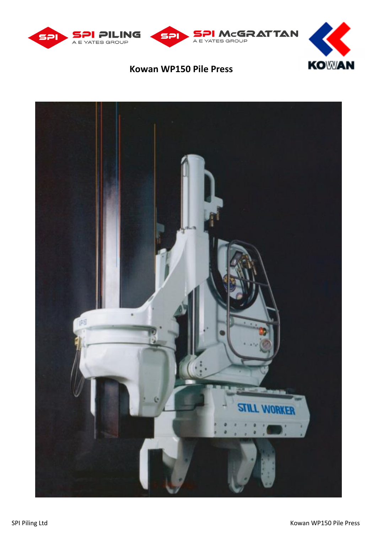



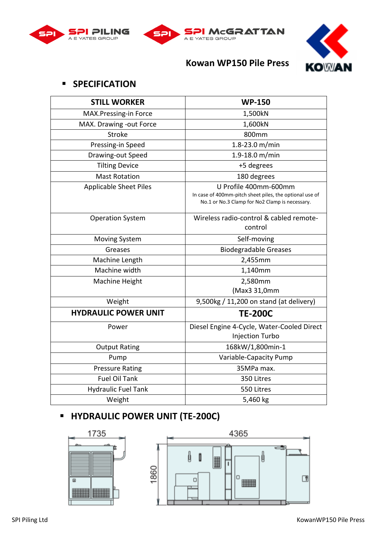





#### ▪ **SPECIFICATION**

| <b>STILL WORKER</b>           | <b>WP-150</b>                                                                                                                      |
|-------------------------------|------------------------------------------------------------------------------------------------------------------------------------|
| MAX.Pressing-in Force         | 1,500kN                                                                                                                            |
| MAX. Drawing -out Force       | 1,600kN                                                                                                                            |
| <b>Stroke</b>                 | 800mm                                                                                                                              |
| Pressing-in Speed             | 1.8-23.0 m/min                                                                                                                     |
| Drawing-out Speed             | 1.9-18.0 m/min                                                                                                                     |
| <b>Tilting Device</b>         | +5 degrees                                                                                                                         |
| <b>Mast Rotation</b>          | 180 degrees                                                                                                                        |
| <b>Applicable Sheet Piles</b> | U Profile 400mm-600mm<br>In case of 400mm-pitch sheet piles, the optional use of<br>No.1 or No.3 Clamp for No2 Clamp is necessary. |
| <b>Operation System</b>       | Wireless radio-control & cabled remote-<br>control                                                                                 |
| Moving System                 | Self-moving                                                                                                                        |
| Greases                       | <b>Biodegradable Greases</b>                                                                                                       |
| Machine Length                | 2,455mm                                                                                                                            |
| Machine width                 | 1,140mm                                                                                                                            |
| Machine Height                | 2,580mm                                                                                                                            |
|                               | (Max3 31,0mm                                                                                                                       |
| Weight                        | 9,500kg / 11,200 on stand (at delivery)                                                                                            |
| <b>HYDRAULIC POWER UNIT</b>   | <b>TE-200C</b>                                                                                                                     |
| Power                         | Diesel Engine 4-Cycle, Water-Cooled Direct<br>Injection Turbo                                                                      |
| <b>Output Rating</b>          | 168kW/1,800min-1                                                                                                                   |
| Pump                          | Variable-Capacity Pump                                                                                                             |
| <b>Pressure Rating</b>        | 35MPa max.                                                                                                                         |
| <b>Fuel Oil Tank</b>          | 350 Litres                                                                                                                         |
| <b>Hydraulic Fuel Tank</b>    | 550 Litres                                                                                                                         |
| Weight                        | 5,460 kg                                                                                                                           |

# ▪ **HYDRAULIC POWER UNIT (TE-200C)**



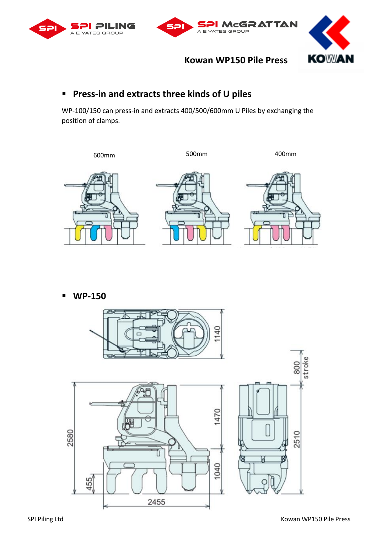





#### ▪ **Press-in and extracts three kinds of U piles**

WP-100/150 can press-in and extracts 400/500/600mm U Piles by exchanging the position of clamps.



▪ **WP-150**